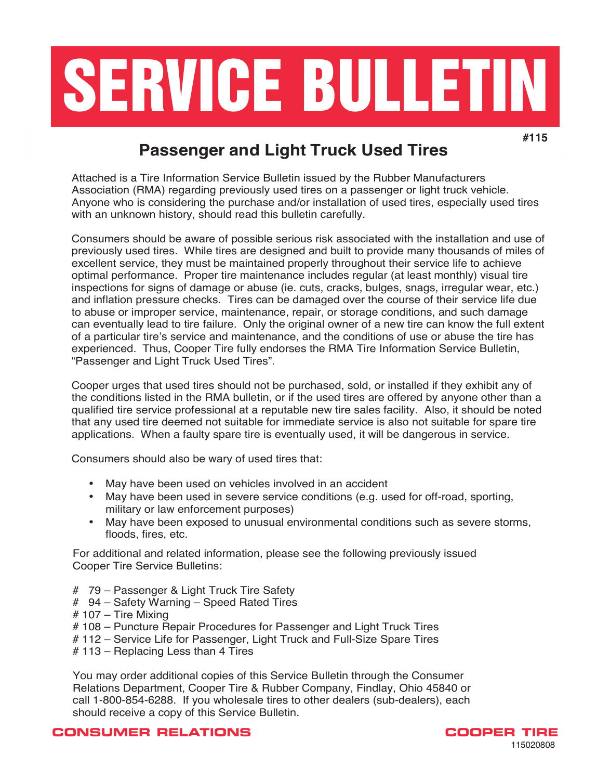

# **Passenger and Light Truck Used Tires**

Attached is a Tire Information Service Bulletin issued by the Rubber Manufacturers Association (RMA) regarding previously used tires on a passenger or light truck vehicle. Anyone who is considering the purchase and/or installation of used tires, especially used tires with an unknown history, should read this bulletin carefully.

Consumers should be aware of possible serious risk associated with the installation and use of previously used tires. While tires are designed and built to provide many thousands of miles of excellent service, they must be maintained properly throughout their service life to achieve optimal performance. Proper tire maintenance includes regular (at least monthly) visual tire inspections for signs of damage or abuse (ie. cuts, cracks, bulges, snags, irregular wear, etc.) and inflation pressure checks. Tires can be damaged over the course of their service life due to abuse or improper service, maintenance, repair, or storage conditions, and such damage can eventually lead to tire failure. Only the original owner of a new tire can know the full extent can be desired the full extent of a particular tire's service and maintenance, and the conditions of use or abuse the tire has or a particular the s service and maintenance, and the conditions or use or abuse the the nas<br>experienced. Thus, Cooper Tire fully endorses the RMA Tire Information Service Bulletin, "Passenger and Light Truck Used Tires". cheneed. Thus, Ooper the luny chaorses the films the information octivice Dulletin,<br>economic and Light Truck Head Tires" oberiger and Eight frack obed med.

Cooper urges that used tires should not be purchased, sold, or installed if they exhibit any of the conditions listed in the RMA bulletin, or if the used tires are offered by anyone other than a qualified tire service professional at a reputable new tire sales facility. Also, it should be noted that any used tire deemed not suitable for immediate service is also not suitable for spare tire applications. When a faulty spare tire is eventually used, it will be dangerous in service.

Consumers should also be wary of used tires that:

- May have been used on vehicles involved in an accident
- May have been used in severe service conditions (e.g. used for off-road, sporting, military or law enforcement purposes)
- May have been exposed to unusual environmental conditions such as severe storms, floods, fires, etc.  $\mu$  may have been used in service conditions (e.g. used for  $\mu$  road, sporting, sporting, sporting, sporting, sporting, sporting, sporting, sporting, sporting, sporting, sporting, sporting, sporting, sporting, sporting,

For additional and related information, please see the following previously issued Cooper Tire Service Bulletins: **Analyzer exposed to unusual environmental environmental conditions such as severe storms** 

- # 79 Passenger & Light Truck Tire Safety
- # 94 Safety Warning Speed Rated Tires
- # 107 Tire Mixing
	- # 108 Puncture Repair Procedures for Passenger and Light Truck Tires
	- # 112 Service Life for Passenger, Light Truck and Full-Size Spare Tires
	- # 113 Replacing Less than 4 Tires

You may order additional copies of this Service Bulletin through the Consumer Relations Department, Cooper Tire & Rubber Company, Findlay, Ohio 45840 or call 1-800-854-6288. If you wholesale tires to other dealers (sub-dealers), each should receive a copy of this Service Bulletin.

### **CONSUMER RELATIONS COOPER TIRE**

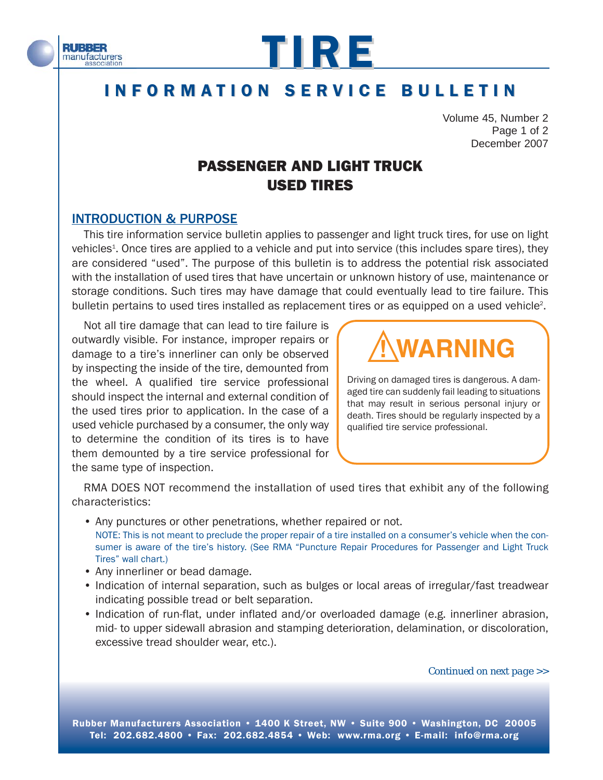



# INFORMATION SERVICE BULLETIN

Volume 45, Number 2 Page 1 of 2 December 2007

# PASSENGER AND LIGHT TRUCK USED TIRES

## INTRODUCTION & PURPOSE

This tire information service bulletin applies to passenger and light truck tires, for use on light vehicles<sup>1</sup>. Once tires are applied to a vehicle and put into service (this includes spare tires), they are considered "used". The purpose of this bulletin is to address the potential risk associated with the installation of used tires that have uncertain or unknown history of use, maintenance or storage conditions. Such tires may have damage that could eventually lead to tire failure. This bulletin pertains to used tires installed as replacement tires or as equipped on a used vehicle<sup>2</sup>.

Not all tire damage that can lead to tire failure is outwardly visible. For instance, improper repairs or damage to a tire's innerliner can only be observed by inspecting the inside of the tire, demounted from the wheel. A qualified tire service professional should inspect the internal and external condition of the used tires prior to application. In the case of a used vehicle purchased by a consumer, the only way to determine the condition of its tires is to have them demounted by a tire service professional for the same type of inspection.



Driving on damaged tires is dangerous. A damaged tire can suddenly fail leading to situations that may result in serious personal injury or death. Tires should be regularly inspected by a qualified tire service professional.

RMA DOES NOT recommend the installation of used tires that exhibit any of the following characteristics:

- Any punctures or other penetrations, whether repaired or not. NOTE: This is not meant to preclude the proper repair of a tire installed on a consumer's vehicle when the consumer is aware of the tire's history. (See RMA "Puncture Repair Procedures for Passenger and Light Truck Tires" wall chart.)
- Any innerliner or bead damage.
- Indication of internal separation, such as bulges or local areas of irregular/fast treadwear indicating possible tread or belt separation.
- Indication of run-flat, under inflated and/or overloaded damage (e.g. innerliner abrasion, mid- to upper sidewall abrasion and stamping deterioration, delamination, or discoloration, excessive tread shoulder wear, etc.).

*Continued on next page >>*

Rubber Manufacturers Association • 1400 K Street, NW • Suite 900 • Washington, DC 20005 Tel: 202.682.4800 • Fax: 202.682.4854 • Web: www.rma.org • E-mail: info@rma.org